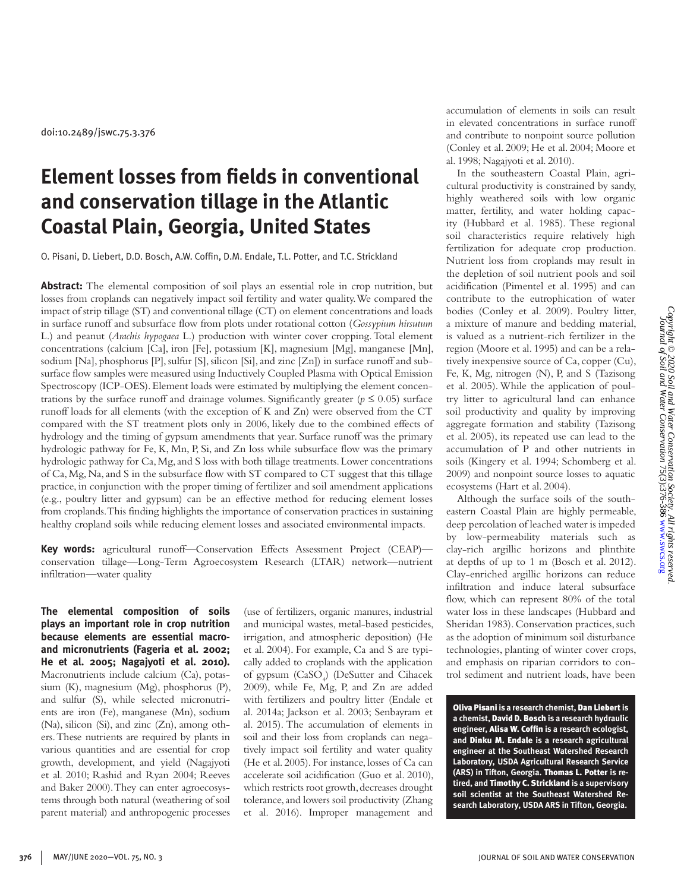doi:10.2489/jswc.75.3.376

# **Element losses from fields in conventional and conservation tillage in the Atlantic Coastal Plain, Georgia, United States**

O. Pisani, D. Liebert, D.D. Bosch, A.W. Coffin, D.M. Endale, T.L. Potter, and T.C. Strickland

**Abstract:** The elemental composition of soil plays an essential role in crop nutrition, but losses from croplands can negatively impact soil fertility and water quality. We compared the impact of strip tillage (ST) and conventional tillage (CT) on element concentrations and loads in surface runoff and subsurface flow from plots under rotational cotton (*Gossypium hirsutum* L.) and peanut (*Arachis hypogaea* L.) production with winter cover cropping. Total element concentrations (calcium [Ca], iron [Fe], potassium [K], magnesium [Mg], manganese [Mn], sodium [Na], phosphorus [P], sulfur [S], silicon [Si], and zinc [Zn]) in surface runoff and subsurface flow samples were measured using Inductively Coupled Plasma with Optical Emission Spectroscopy (ICP-OES). Element loads were estimated by multiplying the element concentrations by the surface runoff and drainage volumes. Significantly greater ( $p \leq 0.05$ ) surface runoff loads for all elements (with the exception of K and Zn) were observed from the CT compared with the ST treatment plots only in 2006, likely due to the combined effects of hydrology and the timing of gypsum amendments that year. Surface runoff was the primary hydrologic pathway for Fe, K, Mn, P, Si, and Zn loss while subsurface flow was the primary hydrologic pathway for Ca, Mg, and S loss with both tillage treatments. Lower concentrations of Ca, Mg, Na, and S in the subsurface flow with ST compared to CT suggest that this tillage practice, in conjunction with the proper timing of fertilizer and soil amendment applications (e.g., poultry litter and gypsum) can be an effective method for reducing element losses from croplands. This finding highlights the importance of conservation practices in sustaining healthy cropland soils while reducing element losses and associated environmental impacts.

**Key words:** agricultural runoff—Conservation Effects Assessment Project (CEAP) conservation tillage—Long-Term Agroecosystem Research (LTAR) network—nutrient infiltration—water quality

**The elemental composition of soils plays an important role in crop nutrition because elements are essential macroand micronutrients (Fageria et al. 2002; He et al. 2005; Nagajyoti et al. 2010).** Macronutrients include calcium (Ca), potassium (K), magnesium (Mg), phosphorus (P), and sulfur (S), while selected micronutrients are iron (Fe), manganese (Mn), sodium (Na), silicon (Si), and zinc (Zn), among others. These nutrients are required by plants in various quantities and are essential for crop growth, development, and yield (Nagajyoti et al. 2010; Rashid and Ryan 2004; Reeves and Baker 2000). They can enter agroecosystems through both natural (weathering of soil parent material) and anthropogenic processes

(use of fertilizers, organic manures, industrial and municipal wastes, metal-based pesticides, irrigation, and atmospheric deposition) (He et al. 2004). For example, Ca and S are typically added to croplands with the application of gypsum (CaSO<sub>4</sub>) (DeSutter and Cihacek 2009), while Fe, Mg, P, and Zn are added with fertilizers and poultry litter (Endale et al. 2014a; Jackson et al. 2003; Senbayram et al. 2015). The accumulation of elements in soil and their loss from croplands can negatively impact soil fertility and water quality (He et al. 2005). For instance, losses of Ca can accelerate soil acidification (Guo et al. 2010), which restricts root growth, decreases drought tolerance, and lowers soil productivity (Zhang et al. 2016). Improper management and

accumulation of elements in soils can result in elevated concentrations in surface runoff and contribute to nonpoint source pollution (Conley et al. 2009; He et al. 2004; Moore et al. 1998; Nagajyoti et al. 2010).

In the southeastern Coastal Plain, agricultural productivity is constrained by sandy, highly weathered soils with low organic matter, fertility, and water holding capacity (Hubbard et al. 1985). These regional soil characteristics require relatively high fertilization for adequate crop production. Nutrient loss from croplands may result in the depletion of soil nutrient pools and soil acidification (Pimentel et al. 1995) and can contribute to the eutrophication of water bodies (Conley et al. 2009). Poultry litter, a mixture of manure and bedding material, is valued as a nutrient-rich fertilizer in the region (Moore et al. 1995) and can be a relatively inexpensive source of Ca, copper (Cu), Fe, K, Mg, nitrogen (N), P, and S (Tazisong et al. 2005). While the application of poultry litter to agricultural land can enhance soil productivity and quality by improving aggregate formation and stability (Tazisong et al. 2005), its repeated use can lead to the accumulation of P and other nutrients in soils (Kingery et al. 1994; Schomberg et al. 2009) and nonpoint source losses to aquatic ecosystems (Hart et al. 2004).

Although the surface soils of the southeastern Coastal Plain are highly permeable, deep percolation of leached water is impeded by low-permeability materials such as clay-rich argillic horizons and plinthite at depths of up to 1 m (Bosch et al. 2012). Clay-enriched argillic horizons can reduce infiltration and induce lateral subsurface flow, which can represent 80% of the total water loss in these landscapes (Hubbard and Sheridan 1983). Conservation practices, such as the adoption of minimum soil disturbance technologies, planting of winter cover crops, and emphasis on riparian corridors to control sediment and nutrient loads, have been

Oliva Pisani **is a research chemist,** Dan Liebert **is a chemist,** David D. Bosch **is a research hydraulic engineer,** Alisa W. Coffin **is a research ecologist, and** Dinku M. Endale **is a research agricultural engineer at the Southeast Watershed Research Laboratory, USDA Agricultural Research Service (ARS) in Tifton, Georgia.** Thomas L. Potter **is retired, and** Timothy C. Strickland **is a supervisory soil scientist at the Southeast Watershed Research Laboratory, USDA ARS in Tifton, Georgia.**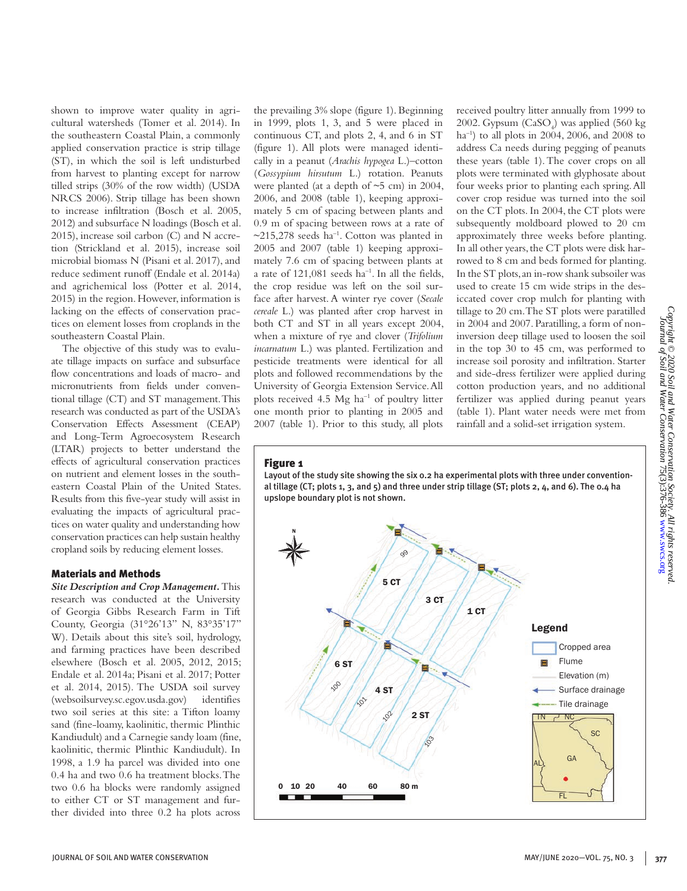shown to improve water quality in agricultural watersheds (Tomer et al. 2014). In the southeastern Coastal Plain, a commonly applied conservation practice is strip tillage (ST), in which the soil is left undisturbed from harvest to planting except for narrow tilled strips (30% of the row width) (USDA NRCS 2006). Strip tillage has been shown to increase infiltration (Bosch et al. 2005, 2012) and subsurface N loadings (Bosch et al. 2015), increase soil carbon (C) and N accretion (Strickland et al. 2015), increase soil microbial biomass N (Pisani et al. 2017), and reduce sediment runoff (Endale et al. 2014a) and agrichemical loss (Potter et al. 2014, 2015) in the region. However, information is lacking on the effects of conservation practices on element losses from croplands in the southeastern Coastal Plain.

The objective of this study was to evaluate tillage impacts on surface and subsurface flow concentrations and loads of macro- and micronutrients from fields under conventional tillage (CT) and ST management. This research was conducted as part of the USDA's Conservation Effects Assessment (CEAP) and Long-Term Agroecosystem Research (LTAR) projects to better understand the effects of agricultural conservation practices on nutrient and element losses in the southeastern Coastal Plain of the United States. Results from this five-year study will assist in evaluating the impacts of agricultural practices on water quality and understanding how conservation practices can help sustain healthy cropland soils by reducing element losses.

# Materials and Methods

*Site Description and Crop Management.* This research was conducted at the University of Georgia Gibbs Research Farm in Tift County, Georgia (31°26'13" N, 83°35'17" W). Details about this site's soil, hydrology, and farming practices have been described elsewhere (Bosch et al. 2005, 2012, 2015; Endale et al. 2014a; Pisani et al. 2017; Potter et al. 2014, 2015). The USDA soil survey (websoilsurvey.sc.egov.usda.gov) identifies two soil series at this site: a Tifton loamy sand (fine-loamy, kaolinitic, thermic Plinthic Kandiudult) and a Carnegie sandy loam (fine, kaolinitic, thermic Plinthic Kandiudult). In 1998, a 1.9 ha parcel was divided into one 0.4 ha and two 0.6 ha treatment blocks. The two 0.6 ha blocks were randomly assigned to either CT or ST management and further divided into three 0.2 ha plots across

the prevailing 3% slope (figure 1). Beginning in 1999, plots 1, 3, and 5 were placed in continuous CT, and plots 2, 4, and 6 in ST (figure 1). All plots were managed identically in a peanut (*Arachis hypogea* L.)–cotton (*Gossypium hirsutum* L.) rotation. Peanuts were planted (at a depth of  $\sim$ 5 cm) in 2004, 2006, and 2008 (table 1), keeping approximately 5 cm of spacing between plants and 0.9 m of spacing between rows at a rate of  $\sim$ 215,278 seeds ha<sup>-1</sup>. Cotton was planted in 2005 and 2007 (table 1) keeping approximately 7.6 cm of spacing between plants at a rate of  $121,081$  seeds ha<sup>-1</sup>. In all the fields, the crop residue was left on the soil surface after harvest. A winter rye cover (*Secale cereale* L.) was planted after crop harvest in both CT and ST in all years except 2004, when a mixture of rye and clover (*Trifolium incarnatum* L.) was planted. Fertilization and pesticide treatments were identical for all plots and followed recommendations by the University of Georgia Extension Service. All plots received  $4.5 \text{ Mg} \text{ ha}^{-1}$  of poultry litter one month prior to planting in 2005 and 2007 (table 1). Prior to this study, all plots received poultry litter annually from 1999 to 2002. Gypsum  $(CaSO<sub>4</sub>)$  was applied (560 kg) ha<sup>-1</sup>) to all plots in 2004, 2006, and 2008 to address Ca needs during pegging of peanuts these years (table 1). The cover crops on all plots were terminated with glyphosate about four weeks prior to planting each spring. All cover crop residue was turned into the soil on the CT plots. In 2004, the CT plots were subsequently moldboard plowed to 20 cm approximately three weeks before planting. In all other years, the CT plots were disk harrowed to 8 cm and beds formed for planting. In the ST plots, an in-row shank subsoiler was used to create 15 cm wide strips in the desiccated cover crop mulch for planting with tillage to 20 cm. The ST plots were paratilled in 2004 and 2007. Paratilling, a form of noninversion deep tillage used to loosen the soil in the top 30 to 45 cm, was performed to increase soil porosity and infiltration. Starter and side-dress fertilizer were applied during cotton production years, and no additional fertilizer was applied during peanut years (table 1). Plant water needs were met from rainfall and a solid-set irrigation system.

# Figure 1

Layout of the study site showing the six 0.2 ha experimental plots with three under conventional tillage (CT; plots 1, 3, and 5) and three under strip tillage (ST; plots 2, 4, and 6). The 0.4 ha upslope boundary plot is not shown.

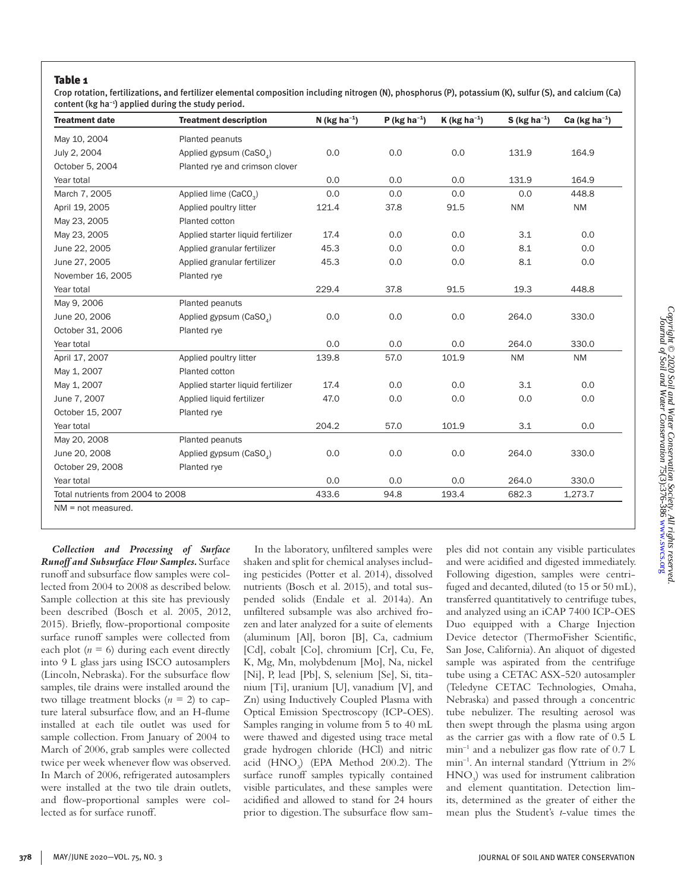Crop rotation, fertilizations, and fertilizer elemental composition including nitrogen (N), phosphorus (P), potassium (K), sulfur (S), and calcium (Ca) content (kg ha<sup>-1</sup>) applied during the study period.

| <b>Treatment date</b>             | <b>Treatment description</b>        | $N$ (kg ha <sup>-1</sup> ) | $P$ (kg ha <sup>-1</sup> ) | $K$ (kg ha <sup>-1</sup> ) | $S$ (kg ha <sup>-1</sup> ) | $Ca (kg ha-1)$ |
|-----------------------------------|-------------------------------------|----------------------------|----------------------------|----------------------------|----------------------------|----------------|
| May 10, 2004                      | Planted peanuts                     |                            |                            |                            |                            |                |
| July 2, 2004                      | Applied gypsum (CaSO <sub>4</sub> ) | 0.0                        | 0.0                        | 0.0                        | 131.9                      | 164.9          |
| October 5, 2004                   | Planted rye and crimson clover      |                            |                            |                            |                            |                |
| Year total                        |                                     | 0.0                        | 0.0                        | 0.0                        | 131.9                      | 164.9          |
| March 7, 2005                     | Applied lime (CaCO <sub>3</sub> )   | 0.0                        | 0.0                        | 0.0                        | 0.0                        | 448.8          |
| April 19, 2005                    | Applied poultry litter              | 121.4                      | 37.8                       | 91.5                       | <b>NM</b>                  | <b>NM</b>      |
| May 23, 2005                      | Planted cotton                      |                            |                            |                            |                            |                |
| May 23, 2005                      | Applied starter liquid fertilizer   | 17.4                       | 0.0                        | 0.0                        | 3.1                        | 0.0            |
| June 22, 2005                     | Applied granular fertilizer         | 45.3                       | 0.0                        | 0.0                        | 8.1                        | 0.0            |
| June 27, 2005                     | Applied granular fertilizer         | 45.3                       | 0.0                        | 0.0                        | 8.1                        | 0.0            |
| November 16, 2005                 | Planted rye                         |                            |                            |                            |                            |                |
| Year total                        |                                     | 229.4                      | 37.8                       | 91.5                       | 19.3                       | 448.8          |
| May 9, 2006                       | Planted peanuts                     |                            |                            |                            |                            |                |
| June 20, 2006                     | Applied gypsum (CaSO <sub>4</sub> ) | 0.0                        | 0.0                        | 0.0                        | 264.0                      | 330.0          |
| October 31, 2006                  | Planted rye                         |                            |                            |                            |                            |                |
| Year total                        |                                     | 0.0                        | 0.0                        | 0.0                        | 264.0                      | 330.0          |
| April 17, 2007                    | Applied poultry litter              | 139.8                      | 57.0                       | 101.9                      | <b>NM</b>                  | <b>NM</b>      |
| May 1, 2007                       | Planted cotton                      |                            |                            |                            |                            |                |
| May 1, 2007                       | Applied starter liquid fertilizer   | 17.4                       | 0.0                        | 0.0                        | 3.1                        | 0.0            |
| June 7, 2007                      | Applied liquid fertilizer           | 47.0                       | 0.0                        | 0.0                        | 0.0                        | 0.0            |
| October 15, 2007                  | Planted rye                         |                            |                            |                            |                            |                |
| Year total                        |                                     | 204.2                      | 57.0                       | 101.9                      | 3.1                        | 0.0            |
| May 20, 2008                      | Planted peanuts                     |                            |                            |                            |                            |                |
| June 20, 2008                     | Applied gypsum (CaSO,)              | 0.0                        | 0.0                        | 0.0                        | 264.0                      | 330.0          |
| October 29, 2008                  | Planted rye                         |                            |                            |                            |                            |                |
| Year total                        |                                     | 0.0                        | 0.0                        | 0.0                        | 264.0                      | 330.0          |
| Total nutrients from 2004 to 2008 |                                     | 433.6                      | 94.8                       | 193.4                      | 682.3                      | 1,273.7        |
| $NM = not measured$ .             |                                     |                            |                            |                            |                            |                |

*Collection and Processing of Surface Runoff and Subsurface Flow Samples.* Surface runoff and subsurface flow samples were collected from 2004 to 2008 as described below. Sample collection at this site has previously been described (Bosch et al. 2005, 2012, 2015). Briefly, flow-proportional composite surface runoff samples were collected from each plot  $(n = 6)$  during each event directly into 9 L glass jars using ISCO autosamplers (Lincoln, Nebraska). For the subsurface flow samples, tile drains were installed around the two tillage treatment blocks  $(n = 2)$  to capture lateral subsurface flow, and an H-flume installed at each tile outlet was used for sample collection. From January of 2004 to March of 2006, grab samples were collected twice per week whenever flow was observed. In March of 2006, refrigerated autosamplers were installed at the two tile drain outlets, and flow-proportional samples were collected as for surface runoff.

In the laboratory, unfiltered samples were shaken and split for chemical analyses including pesticides (Potter et al. 2014), dissolved nutrients (Bosch et al. 2015), and total suspended solids (Endale et al. 2014a). An unfiltered subsample was also archived frozen and later analyzed for a suite of elements (aluminum [Al], boron [B], Ca, cadmium [Cd], cobalt [Co], chromium [Cr], Cu, Fe, K, Mg, Mn, molybdenum [Mo], Na, nickel [Ni], P, lead [Pb], S, selenium [Se], Si, titanium [Ti], uranium [U], vanadium [V], and Zn) using Inductively Coupled Plasma with Optical Emission Spectroscopy (ICP-OES). Samples ranging in volume from 5 to 40 mL were thawed and digested using trace metal grade hydrogen chloride (HCl) and nitric acid  $(HNO<sub>3</sub>)$  (EPA Method 200.2). The surface runoff samples typically contained visible particulates, and these samples were acidified and allowed to stand for 24 hours prior to digestion. The subsurface flow samples did not contain any visible particulates and were acidified and digested immediately. Following digestion, samples were centrifuged and decanted, diluted (to 15 or 50 mL), transferred quantitatively to centrifuge tubes, and analyzed using an iCAP 7400 ICP-OES Duo equipped with a Charge Injection Device detector (ThermoFisher Scientific, San Jose, California). An aliquot of digested sample was aspirated from the centrifuge tube using a CETAC ASX-520 autosampler (Teledyne CETAC Technologies, Omaha, Nebraska) and passed through a concentric tube nebulizer. The resulting aerosol was then swept through the plasma using argon as the carrier gas with a flow rate of 0.5 L min–1 and a nebulizer gas flow rate of 0.7 L min–1. An internal standard (Yttrium in 2% HNO3 ) was used for instrument calibration and element quantitation. Detection limits, determined as the greater of either the mean plus the Student's *t*-value times the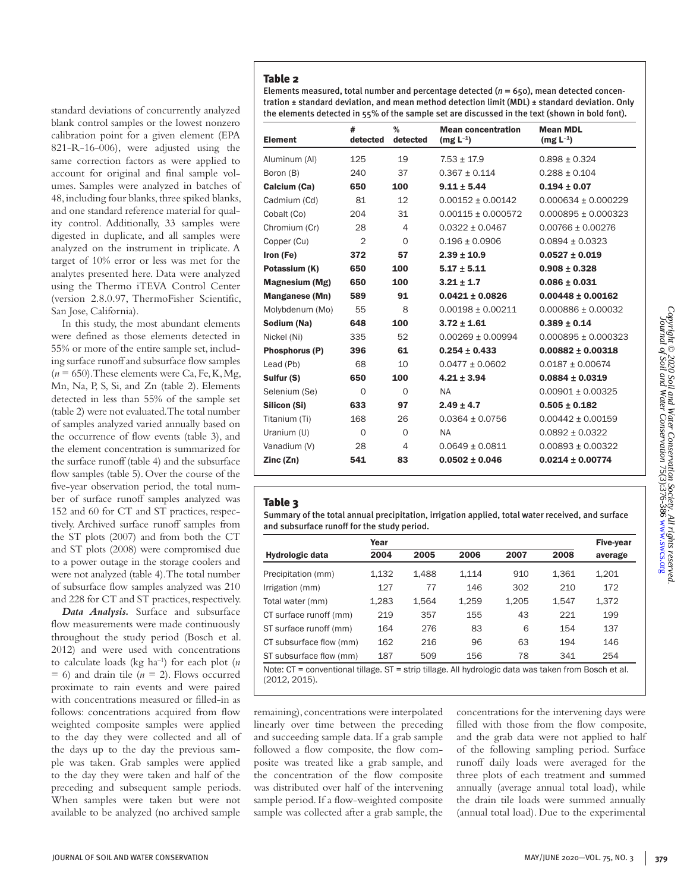standard deviations of concurrently analyzed blank control samples or the lowest nonzero calibration point for a given element (EPA 821-R-16-006), were adjusted using the same correction factors as were applied to account for original and final sample volumes. Samples were analyzed in batches of 48, including four blanks, three spiked blanks, and one standard reference material for quality control. Additionally, 33 samples were digested in duplicate, and all samples were analyzed on the instrument in triplicate. A target of 10% error or less was met for the analytes presented here. Data were analyzed using the Thermo iTEVA Control Center (version 2.8.0.97, ThermoFisher Scientific, San Jose, California).

In this study, the most abundant elements were defined as those elements detected in 55% or more of the entire sample set, including surface runoff and subsurface flow samples  $(n = 650)$ . These elements were Ca, Fe, K, Mg, Mn, Na, P, S, Si, and Zn (table 2). Elements detected in less than 55% of the sample set (table 2) were not evaluated. The total number of samples analyzed varied annually based on the occurrence of flow events (table 3), and the element concentration is summarized for the surface runoff (table 4) and the subsurface flow samples (table 5). Over the course of the five-year observation period, the total number of surface runoff samples analyzed was 152 and 60 for CT and ST practices, respectively. Archived surface runoff samples from the ST plots (2007) and from both the CT and ST plots (2008) were compromised due to a power outage in the storage coolers and were not analyzed (table 4). The total number of subsurface flow samples analyzed was 210 and 228 for CT and ST practices, respectively.

*Data Analysis.* Surface and subsurface flow measurements were made continuously throughout the study period (Bosch et al. 2012) and were used with concentrations to calculate loads (kg ha–1) for each plot (*n*  $= 6$ ) and drain tile ( $n = 2$ ). Flows occurred proximate to rain events and were paired with concentrations measured or filled-in as follows: concentrations acquired from flow weighted composite samples were applied to the day they were collected and all of the days up to the day the previous sample was taken. Grab samples were applied to the day they were taken and half of the preceding and subsequent sample periods. When samples were taken but were not available to be analyzed (no archived sample

## Table 2

Elements measured, total number and percentage detected  $(n = 650)$ , mean detected concentration ± standard deviation, and mean method detection limit (MDL) ± standard deviation. Only the elements detected in 55% of the sample set are discussed in the text (shown in bold font).

| <b>Element</b>        | #<br>detected  | $\frac{9}{6}$<br>detected | <b>Mean concentration</b><br>$(mg L^{-1})$ | <b>Mean MDL</b><br>$(mg L^{-1})$ |
|-----------------------|----------------|---------------------------|--------------------------------------------|----------------------------------|
| Aluminum (Al)         | 125            | 19                        | $7.53 \pm 17.9$                            | $0.898 \pm 0.324$                |
| Boron (B)             | 240            | 37                        | $0.367 \pm 0.114$                          | $0.288 \pm 0.104$                |
| Calcium (Ca)          | 650            | 100                       | $9.11 \pm 5.44$                            | $0.194 \pm 0.07$                 |
| Cadmium (Cd)          | 81             | 12                        | $0.00152 \pm 0.00142$                      | $0.000634 \pm 0.000229$          |
| Cobalt (Co)           | 204            | 31                        | $0.00115 \pm 0.000572$                     | $0.000895 \pm 0.000323$          |
| Chromium (Cr)         | 28             | $\overline{4}$            | $0.0322 + 0.0467$                          | $0.00766 \pm 0.00276$            |
| Copper (Cu)           | $\overline{2}$ | $\Omega$                  | $0.196 \pm 0.0906$                         | $0.0894 \pm 0.0323$              |
| Iron (Fe)             | 372            | 57                        | $2.39 \pm 10.9$                            | $0.0527 \pm 0.019$               |
| Potassium (K)         | 650            | 100                       | $5.17 \pm 5.11$                            | $0.908 \pm 0.328$                |
| Magnesium (Mg)        | 650            | 100                       | $3.21 \pm 1.7$                             | $0.086 \pm 0.031$                |
| <b>Manganese (Mn)</b> | 589            | 91                        | $0.0421 \pm 0.0826$                        | $0.00448 \pm 0.00162$            |
| Molybdenum (Mo)       | 55             | 8                         | $0.00198 + 0.00211$                        | $0.000886 + 0.00032$             |
| Sodium (Na)           | 648            | 100                       | $3.72 \pm 1.61$                            | $0.389 \pm 0.14$                 |
| Nickel (Ni)           | 335            | 52                        | $0.00269 \pm 0.00994$                      | $0.000895 \pm 0.000323$          |
| Phosphorus (P)        | 396            | 61                        | $0.254 \pm 0.433$                          | $0.00882 \pm 0.00318$            |
| Lead (Pb)             | 68             | 10                        | $0.0477 \pm 0.0602$                        | $0.0187 \pm 0.00674$             |
| Sulfur (S)            | 650            | 100                       | $4.21 \pm 3.94$                            | $0.0884 \pm 0.0319$              |
| Selenium (Se)         | $\mathbf 0$    | $\Omega$                  | <b>NA</b>                                  | $0.00901 \pm 0.00325$            |
| Silicon (Si)          | 633            | 97                        | $2.49 \pm 4.7$                             | $0.505 \pm 0.182$                |
| Titanium (Ti)         | 168            | 26                        | $0.0364 \pm 0.0756$                        | $0.00442 \pm 0.00159$            |
| Uranium (U)           | $\Omega$       | $\Omega$                  | <b>NA</b>                                  | $0.0892 \pm 0.0322$              |
| Vanadium (V)          | 28             | 4                         | $0.0649 + 0.0811$                          | $0.00893 \pm 0.00322$            |
| Zinc (Zn)             | 541            | 83                        | $0.0502 \pm 0.046$                         | $0.0214 \pm 0.00774$             |

## Table 3

Summary of the total annual precipitation, irrigation applied, total water received, and surface and subsurface runoff for the study period.

|                         | Year  |       |       |       |       | <b>Five-year</b> |
|-------------------------|-------|-------|-------|-------|-------|------------------|
| Hydrologic data         | 2004  | 2005  | 2006  | 2007  | 2008  | average          |
| Precipitation (mm)      | 1,132 | 1,488 | 1,114 | 910   | 1,361 | 1,201            |
| Irrigation (mm)         | 127   | 77    | 146   | 302   | 210   | 172              |
| Total water (mm)        | 1,283 | 1.564 | 1,259 | 1.205 | 1.547 | 1,372            |
| CT surface runoff (mm)  | 219   | 357   | 155   | 43    | 221   | 199              |
| ST surface runoff (mm)  | 164   | 276   | 83    | 6     | 154   | 137              |
| CT subsurface flow (mm) | 162   | 216   | 96    | 63    | 194   | 146              |
| ST subsurface flow (mm) | 187   | 509   | 156   | 78    | 341   | 254              |

Note: CT = conventional tillage. ST = strip tillage. All hydrologic data was taken from Bosch et al. (2012, 2015).

remaining), concentrations were interpolated linearly over time between the preceding and succeeding sample data. If a grab sample followed a flow composite, the flow composite was treated like a grab sample, and the concentration of the flow composite was distributed over half of the intervening sample period. If a flow-weighted composite sample was collected after a grab sample, the concentrations for the intervening days were filled with those from the flow composite, and the grab data were not applied to half of the following sampling period. Surface runoff daily loads were averaged for the three plots of each treatment and summed annually (average annual total load), while the drain tile loads were summed annually (annual total load). Due to the experimental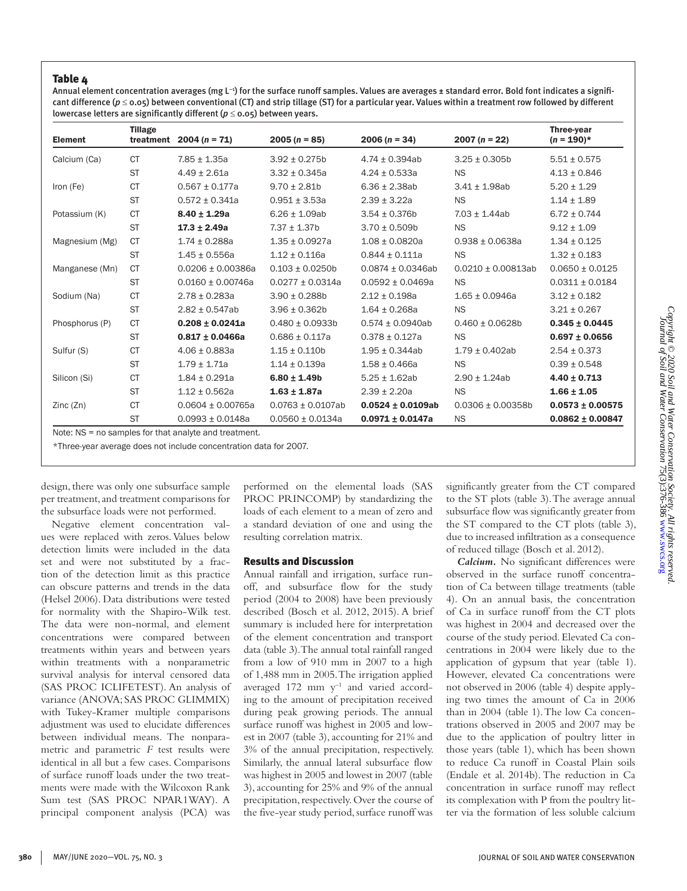Annual element concentration averages (mg L<sup>-1</sup>) for the surface runoff samples. Values are averages ± standard error. Bold font indicates a significant difference (*p* ≤ 0.05) between conventional (CT) and strip tillage (ST) for a particular year. Values within a treatment row followed by different lowercase letters are significantly different (*p* ≤ 0.05) between years.

| <b>Element</b> | <b>Tillage</b><br>treatment | $2004 (n = 71)$       | $2005 (n = 85)$        | $2006 (n = 34)$        | $2007 (n = 22)$         | Three-year<br>$(n = 190)^*$ |
|----------------|-----------------------------|-----------------------|------------------------|------------------------|-------------------------|-----------------------------|
| Calcium (Ca)   | <b>CT</b>                   | $7.85 \pm 1.35a$      | $3.92 \pm 0.275b$      | $4.74 \pm 0.394$ ab    | $3.25 \pm 0.305$ b      | $5.51 \pm 0.575$            |
|                | <b>ST</b>                   | $4.49 \pm 2.61a$      | $3.32 \pm 0.345a$      | $4.24 \pm 0.533a$      | <b>NS</b>               | $4.13 \pm 0.846$            |
| Iron (Fe)      | <b>CT</b>                   | $0.567 \pm 0.177a$    | $9.70 \pm 2.81$ b      | $6.36 \pm 2.38$ ab     | $3.41 \pm 1.98$ ab      | $5.20 \pm 1.29$             |
|                | <b>ST</b>                   | $0.572 \pm 0.341a$    | $0.951 \pm 3.53a$      | $2.39 \pm 3.22a$       | <b>NS</b>               | $1.14 \pm 1.89$             |
| Potassium (K)  | <b>CT</b>                   | $8.40 \pm 1.29a$      | $6.26 \pm 1.09$ ab     | $3.54 \pm 0.376$       | $7.03 + 1.44ab$         | $6.72 \pm 0.744$            |
|                | <b>ST</b>                   | $17.3 \pm 2.49a$      | $7.37 \pm 1.37$ b      | $3.70 \pm 0.509$       | <b>NS</b>               | $9.12 \pm 1.09$             |
| Magnesium (Mg) | <b>CT</b>                   | $1.74 \pm 0.288$ a    | $1.35 \pm 0.0927a$     | $1.08 \pm 0.0820a$     | $0.938 \pm 0.0638a$     | $1.34 \pm 0.125$            |
|                | <b>ST</b>                   | $1.45 \pm 0.556a$     | $1.12 \pm 0.116a$      | $0.844 \pm 0.111a$     | <b>NS</b>               | $1.32 \pm 0.183$            |
| Manganese (Mn) | <b>CT</b>                   | $0.0206 \pm 0.00386a$ | $0.103 \pm 0.0250b$    | $0.0874 \pm 0.0346$ ab | $0.0210 \pm 0.00813$ ab | $0.0650 \pm 0.0125$         |
|                | <b>ST</b>                   | $0.0160 \pm 0.00746a$ | $0.0277 \pm 0.0314a$   | $0.0592 \pm 0.0469a$   | <b>NS</b>               | $0.0311 \pm 0.0184$         |
| Sodium (Na)    | <b>CT</b>                   | $2.78 \pm 0.283a$     | $3.90 \pm 0.288$ b     | $2.12 \pm 0.198$ a     | $1.65 \pm 0.0946a$      | $3.12 \pm 0.182$            |
|                | <b>ST</b>                   | $2.82 \pm 0.547$ ab   | $3.96 \pm 0.362b$      | $1.64 \pm 0.268$ a     | <b>NS</b>               | $3.21 \pm 0.267$            |
| Phosphorus (P) | <b>CT</b>                   | $0.208 \pm 0.0241a$   | $0.480 \pm 0.0933b$    | $0.574 \pm 0.0940$ ab  | $0.460 \pm 0.0628$      | $0.345 \pm 0.0445$          |
|                | <b>ST</b>                   | $0.817 \pm 0.0466a$   | $0.686 \pm 0.117a$     | $0.378 \pm 0.127a$     | NS.                     | $0.697 \pm 0.0656$          |
| Sulfur (S)     | <b>CT</b>                   | $4.06 \pm 0.883a$     | $1.15 \pm 0.110b$      | $1.95 \pm 0.344$ ab    | $1.79 + 0.402ab$        | $2.54 \pm 0.373$            |
|                | <b>ST</b>                   | $1.79 \pm 1.71a$      | $1.14 \pm 0.139$ a     | $1.58 \pm 0.466a$      | <b>NS</b>               | $0.39 \pm 0.548$            |
| Silicon (Si)   | <b>CT</b>                   | $1.84 \pm 0.291a$     | $6.80 \pm 1.49b$       | $5.25 \pm 1.62$ ab     | $2.90 \pm 1.24$ ab      | $4.40 \pm 0.713$            |
|                | <b>ST</b>                   | $1.12 \pm 0.562a$     | $1.63 \pm 1.87a$       | $2.39 \pm 2.20a$       | <b>NS</b>               | $1.66 \pm 1.05$             |
| Zinc(Zn)       | <b>CT</b>                   | $0.0604 \pm 0.00765a$ | $0.0763 \pm 0.0107$ ab | $0.0524 \pm 0.0109$ ab | $0.0306 \pm 0.00358$ b  | $0.0573 \pm 0.00575$        |
|                | <b>ST</b>                   | $0.0993 \pm 0.0148a$  | $0.0560 \pm 0.0134a$   | $0.0971 \pm 0.0147a$   | <b>NS</b>               | $0.0862 \pm 0.00847$        |

Note: NS = no samples for that analyte and treatment.

\*Three-year average does not include concentration data for 2007.

design, there was only one subsurface sample per treatment, and treatment comparisons for the subsurface loads were not performed.

Negative element concentration values were replaced with zeros. Values below detection limits were included in the data set and were not substituted by a fraction of the detection limit as this practice can obscure patterns and trends in the data (Helsel 2006). Data distributions were tested for normality with the Shapiro-Wilk test. The data were non-normal, and element concentrations were compared between treatments within years and between years within treatments with a nonparametric survival analysis for interval censored data (SAS PROC ICLIFETEST). An analysis of variance (ANOVA; SAS PROC GLIMMIX) with Tukey-Kramer multiple comparisons adjustment was used to elucidate differences between individual means. The nonparametric and parametric *F* test results were identical in all but a few cases. Comparisons of surface runoff loads under the two treatments were made with the Wilcoxon Rank Sum test (SAS PROC NPAR1WAY). A principal component analysis (PCA) was performed on the elemental loads (SAS PROC PRINCOMP) by standardizing the loads of each element to a mean of zero and a standard deviation of one and using the resulting correlation matrix.

# Results and Discussion

Annual rainfall and irrigation, surface runoff, and subsurface flow for the study period (2004 to 2008) have been previously described (Bosch et al. 2012, 2015). A brief summary is included here for interpretation of the element concentration and transport data (table 3). The annual total rainfall ranged from a low of 910 mm in 2007 to a high of 1,488 mm in 2005. The irrigation applied averaged  $172 \text{ mm } y^{-1}$  and varied according to the amount of precipitation received during peak growing periods. The annual surface runoff was highest in 2005 and lowest in 2007 (table 3), accounting for 21% and 3% of the annual precipitation, respectively. Similarly, the annual lateral subsurface flow was highest in 2005 and lowest in 2007 (table 3), accounting for 25% and 9% of the annual precipitation, respectively. Over the course of the five-year study period, surface runoff was significantly greater from the CT compared to the ST plots (table 3). The average annual subsurface flow was significantly greater from the ST compared to the CT plots (table 3), due to increased infiltration as a consequence of reduced tillage (Bosch et al. 2012).

*Calcium.* No significant differences were observed in the surface runoff concentration of Ca between tillage treatments (table 4). On an annual basis, the concentration of Ca in surface runoff from the CT plots was highest in 2004 and decreased over the course of the study period. Elevated Ca concentrations in 2004 were likely due to the application of gypsum that year (table 1). However, elevated Ca concentrations were not observed in 2006 (table 4) despite applying two times the amount of Ca in 2006 than in 2004 (table 1). The low Ca concentrations observed in 2005 and 2007 may be due to the application of poultry litter in those years (table 1), which has been shown to reduce Ca runoff in Coastal Plain soils (Endale et al. 2014b). The reduction in Ca concentration in surface runoff may reflect its complexation with P from the poultry litter via the formation of less soluble calcium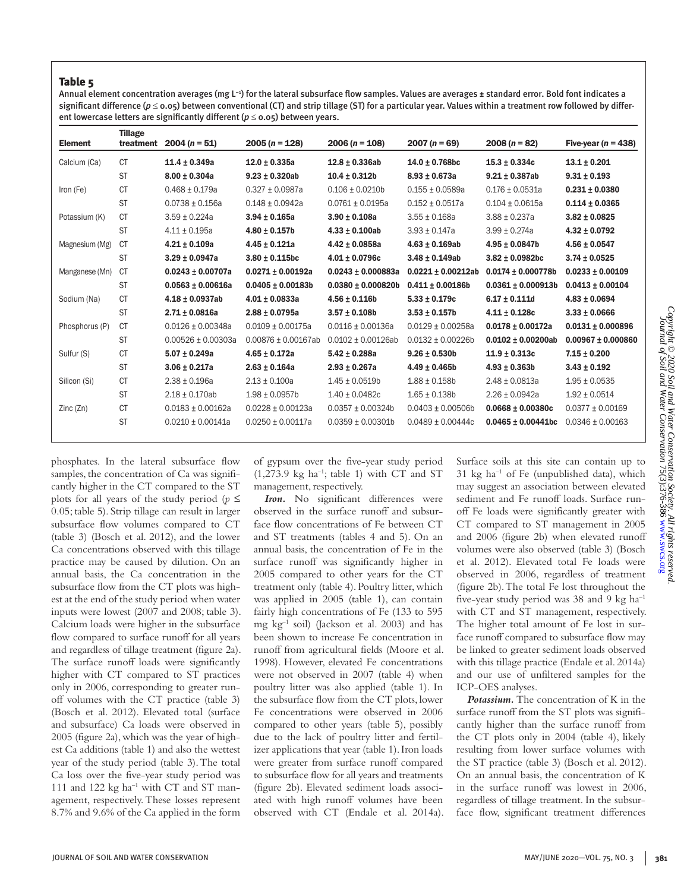# Table 5

Annual element concentration averages (mg L<sup>-1</sup>) for the lateral subsurface flow samples. Values are averages  $\pm$  standard error. Bold font indicates a significant difference (*p* ≤ 0.05) between conventional (CT) and strip tillage (ST) for a particular year. Values within a treatment row followed by different lowercase letters are significantly different (*p* ≤ 0.05) between years.

| <b>Element</b> | <b>Tillage</b><br>treatment | $2004(n = 51)$         | $2005 (n = 128)$         | $2006 (n = 108)$        | $2007 (n = 69)$         | $2008 (n = 82)$         | Five-year ( $n = 438$ ) |
|----------------|-----------------------------|------------------------|--------------------------|-------------------------|-------------------------|-------------------------|-------------------------|
| Calcium (Ca)   | <b>CT</b>                   | $11.4 \pm 0.349a$      | $12.0 \pm 0.335a$        | $12.8 \pm 0.336$ ab     | $14.0 \pm 0.768$ bc     | $15.3 \pm 0.334c$       | $13.1 \pm 0.201$        |
|                | <b>ST</b>                   | $8.00 \pm 0.304a$      | $9.23 \pm 0.320$ ab      | $10.4 \pm 0.312$ b      | $8.93 \pm 0.673a$       | $9.21 \pm 0.387$ ab     | $9.31 \pm 0.193$        |
| Iron (Fe)      | <b>CT</b>                   | $0.468 \pm 0.179a$     | $0.327 \pm 0.0987$ a     | $0.106 \pm 0.0210b$     | $0.155 \pm 0.0589a$     | $0.176 \pm 0.0531a$     | $0.231 \pm 0.0380$      |
|                | <b>ST</b>                   | $0.0738 \pm 0.156a$    | $0.148 \pm 0.0942a$      | $0.0761 \pm 0.0195a$    | $0.152 \pm 0.0517$ a    | $0.104 \pm 0.0615$ a    | $0.114 \pm 0.0365$      |
| Potassium (K)  | <b>CT</b>                   | $3.59 \pm 0.224a$      | $3.94 \pm 0.165a$        | $3.90 \pm 0.108a$       | $3.55 \pm 0.168a$       | $3.88 \pm 0.237a$       | $3.82 \pm 0.0825$       |
|                | <b>ST</b>                   | $4.11 \pm 0.195$ a     | $4.80 \pm 0.157$ b       | $4.33 \pm 0.100$ ab     | $3.93 \pm 0.147$ a      | $3.99 \pm 0.274a$       | $4.32 \pm 0.0792$       |
| Magnesium (Mg) | <b>CT</b>                   | $4.21 \pm 0.109a$      | $4.45 \pm 0.121a$        | $4.42 \pm 0.0858a$      | $4.63 \pm 0.169$ ab     | $4.95 \pm 0.0847$ b     | $4.56 \pm 0.0547$       |
|                | <b>ST</b>                   | $3.29 \pm 0.0947$ a    | $3.80 \pm 0.115$ bc      | $4.01 \pm 0.0796c$      | $3.48 \pm 0.149$ ab     | $3.82 \pm 0.0982$ bc    | $3.74 \pm 0.0525$       |
| Manganese (Mn) | <b>CT</b>                   | $0.0243 \pm 0.00707a$  | $0.0271 \pm 0.00192$ a   | $0.0243 \pm 0.000883a$  | $0.0221 \pm 0.00212$ ab | $0.0174 \pm 0.000778$ b | $0.0233 \pm 0.00109$    |
|                | <b>ST</b>                   | $0.0563 \pm 0.00616a$  | $0.0405 \pm 0.00183b$    | $0.0380 \pm 0.000820$ b | $0.411 \pm 0.00186$ b   | $0.0361 \pm 0.000913b$  | $0.0413 \pm 0.00104$    |
| Sodium (Na)    | <b>CT</b>                   | $4.18 \pm 0.0937$ ab   | $4.01 \pm 0.0833a$       | $4.56 \pm 0.116b$       | $5.33 \pm 0.179c$       | $6.17 \pm 0.111d$       | $4.83 \pm 0.0694$       |
|                | <b>ST</b>                   | $2.71 \pm 0.0816a$     | $2.88 \pm 0.0795a$       | $3.57 \pm 0.108$ b      | $3.53 \pm 0.157$ b      | $4.11 \pm 0.128c$       | $3.33 \pm 0.0666$       |
| Phosphorus (P) | <b>CT</b>                   | $0.0126 \pm 0.00348a$  | $0.0109 \pm 0.00175a$    | $0.0116 \pm 0.00136$ a  | $0.0129 \pm 0.00258a$   | $0.0178 \pm 0.00172a$   | $0.0131 \pm 0.000896$   |
|                | <b>ST</b>                   | $0.00526 \pm 0.00303a$ | $0.00876 \pm 0.00167$ ab | $0.0102 \pm 0.00126$ ab | $0.0132 \pm 0.00226$ b  | $0.0102 \pm 0.00200$ ab | $0.00967 \pm 0.000860$  |
| Sulfur (S)     | <b>CT</b>                   | $5.07 \pm 0.249a$      | $4.65 \pm 0.172a$        | $5.42 \pm 0.288a$       | $9.26 \pm 0.530$        | $11.9 \pm 0.313c$       | $7.15 \pm 0.200$        |
|                | <b>ST</b>                   | $3.06 \pm 0.217a$      | $2.63 \pm 0.164a$        | $2.93 \pm 0.267a$       | $4.49 \pm 0.465$ b      | $4.93 \pm 0.363b$       | $3.43 \pm 0.192$        |
| Silicon (Si)   | <b>CT</b>                   | $2.38 \pm 0.196a$      | $2.13 \pm 0.100a$        | $1.45 \pm 0.0519$       | $1.88 \pm 0.158$ b      | $2.48 \pm 0.0813a$      | $1.95 \pm 0.0535$       |
|                | <b>ST</b>                   | $2.18 \pm 0.170$ ab    | $1.98 \pm 0.0957$ b      | $1.40 \pm 0.0482c$      | $1.65 \pm 0.138$ b      | $2.26 \pm 0.0942a$      | $1.92 \pm 0.0514$       |
| Zinc(Zn)       | <b>CT</b>                   | $0.0183 \pm 0.00162a$  | $0.0228 \pm 0.00123a$    | $0.0357 \pm 0.00324$ b  | $0.0403 \pm 0.00506$ b  | $0.0668 \pm 0.00380c$   | $0.0377 \pm 0.00169$    |
|                | <b>ST</b>                   | $0.0210 \pm 0.00141a$  | $0.0250 \pm 0.00117$ a   | $0.0359 \pm 0.00301$ b  | $0.0489 \pm 0.00444c$   | $0.0465 \pm 0.00441$ bc | $0.0346 \pm 0.00163$    |

phosphates. In the lateral subsurface flow samples, the concentration of Ca was significantly higher in the CT compared to the ST plots for all years of the study period ( $p \leq$ 0.05; table 5). Strip tillage can result in larger subsurface flow volumes compared to CT (table 3) (Bosch et al. 2012), and the lower Ca concentrations observed with this tillage practice may be caused by dilution. On an annual basis, the Ca concentration in the subsurface flow from the CT plots was highest at the end of the study period when water inputs were lowest (2007 and 2008; table 3). Calcium loads were higher in the subsurface flow compared to surface runoff for all years and regardless of tillage treatment (figure 2a). The surface runoff loads were significantly higher with CT compared to ST practices only in 2006, corresponding to greater runoff volumes with the CT practice (table 3) (Bosch et al. 2012). Elevated total (surface and subsurface) Ca loads were observed in 2005 (figure 2a), which was the year of highest Ca additions (table 1) and also the wettest year of the study period (table 3). The total Ca loss over the five-year study period was 111 and 122 kg ha<sup>-1</sup> with CT and ST management, respectively. These losses represent 8.7% and 9.6% of the Ca applied in the form

of gypsum over the five-year study period  $(1,273.9 \text{ kg ha}^{-1})$ ; table 1) with CT and ST management, respectively.

Iron. No significant differences were observed in the surface runoff and subsurface flow concentrations of Fe between CT and ST treatments (tables 4 and 5). On an annual basis, the concentration of Fe in the surface runoff was significantly higher in 2005 compared to other years for the CT treatment only (table 4). Poultry litter, which was applied in 2005 (table 1), can contain fairly high concentrations of Fe (133 to 595 mg kg–1 soil) (Jackson et al. 2003) and has been shown to increase Fe concentration in runoff from agricultural fields (Moore et al. 1998). However, elevated Fe concentrations were not observed in 2007 (table 4) when poultry litter was also applied (table 1). In the subsurface flow from the CT plots, lower Fe concentrations were observed in 2006 compared to other years (table 5), possibly due to the lack of poultry litter and fertilizer applications that year (table 1). Iron loads were greater from surface runoff compared to subsurface flow for all years and treatments (figure 2b). Elevated sediment loads associated with high runoff volumes have been observed with CT (Endale et al. 2014a). Surface soils at this site can contain up to  $31 \text{ kg } \text{ha}^{-1}$  of Fe (unpublished data), which may suggest an association between elevated sediment and Fe runoff loads. Surface runoff Fe loads were significantly greater with CT compared to ST management in 2005 and 2006 (figure 2b) when elevated runoff volumes were also observed (table 3) (Bosch et al. 2012). Elevated total Fe loads were observed in 2006, regardless of treatment (figure 2b). The total Fe lost throughout the five-year study period was 38 and 9 kg ha–1 with CT and ST management, respectively. The higher total amount of Fe lost in surface runoff compared to subsurface flow may be linked to greater sediment loads observed with this tillage practice (Endale et al. 2014a) and our use of unfiltered samples for the ICP-OES analyses.

*Potassium.* The concentration of K in the surface runoff from the ST plots was significantly higher than the surface runoff from the CT plots only in 2004 (table 4), likely resulting from lower surface volumes with the ST practice (table 3) (Bosch et al. 2012). On an annual basis, the concentration of K in the surface runoff was lowest in 2006, regardless of tillage treatment. In the subsurface flow, significant treatment differences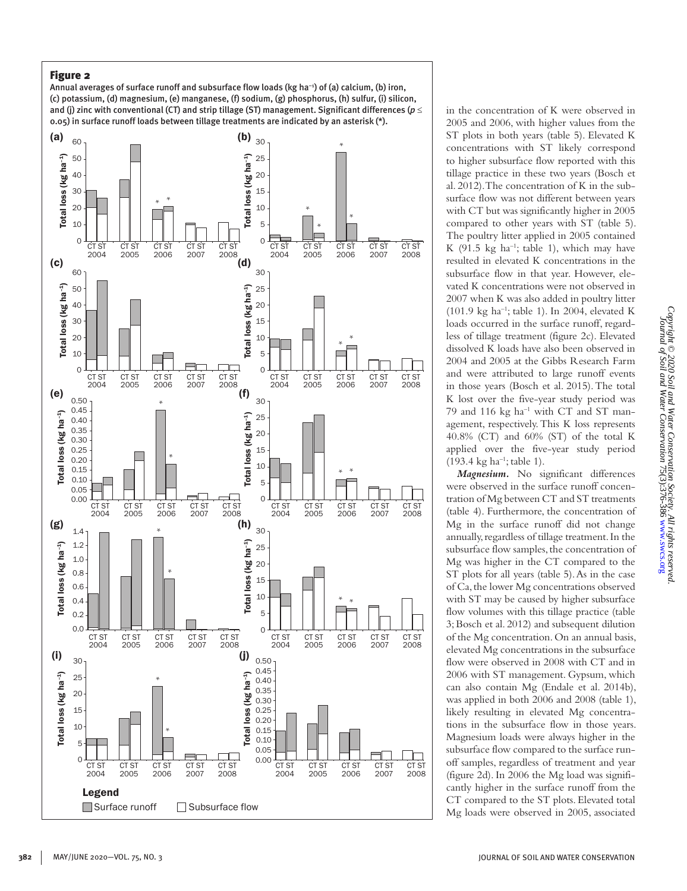

in the concentration of K were observed in 2005 and 2006, with higher values from the ST plots in both years (table 5). Elevated K concentrations with ST likely correspond to higher subsurface flow reported with this tillage practice in these two years (Bosch et al. 2012). The concentration of K in the subsurface flow was not different between years with CT but was significantly higher in 2005 compared to other years with ST (table 5). The poultry litter applied in 2005 contained K (91.5 kg ha<sup>-1</sup>; table 1), which may have resulted in elevated K concentrations in the subsurface flow in that year. However, elevated K concentrations were not observed in 2007 when K was also added in poultry litter  $(101.9 \text{ kg} \text{ ha}^{-1})$ ; table 1). In 2004, elevated K loads occurred in the surface runoff, regardless of tillage treatment (figure 2c). Elevated dissolved K loads have also been observed in 2004 and 2005 at the Gibbs Research Farm and were attributed to large runoff events in those years (Bosch et al. 2015). The total K lost over the five-year study period was 79 and 116 kg  $ha^{-1}$  with CT and ST management, respectively. This K loss represents 40.8% (CT) and 60% (ST) of the total K applied over the five-year study period (193.4 kg ha–1; table 1).

*Magnesium.* No significant differences were observed in the surface runoff concentration of Mg between CT and ST treatments (table 4). Furthermore, the concentration of Mg in the surface runoff did not change annually, regardless of tillage treatment. In the subsurface flow samples, the concentration of Mg was higher in the CT compared to the ST plots for all years (table 5). As in the case of Ca, the lower Mg concentrations observed with ST may be caused by higher subsurface flow volumes with this tillage practice (table 3; Bosch et al. 2012) and subsequent dilution of the Mg concentration. On an annual basis, elevated Mg concentrations in the subsurface flow were observed in 2008 with CT and in 2006 with ST management. Gypsum, which can also contain Mg (Endale et al. 2014b), was applied in both 2006 and 2008 (table 1), likely resulting in elevated Mg concentrations in the subsurface flow in those years. Magnesium loads were always higher in the subsurface flow compared to the surface runoff samples, regardless of treatment and year (figure 2d). In 2006 the Mg load was significantly higher in the surface runoff from the CT compared to the ST plots. Elevated total Mg loads were observed in 2005, associated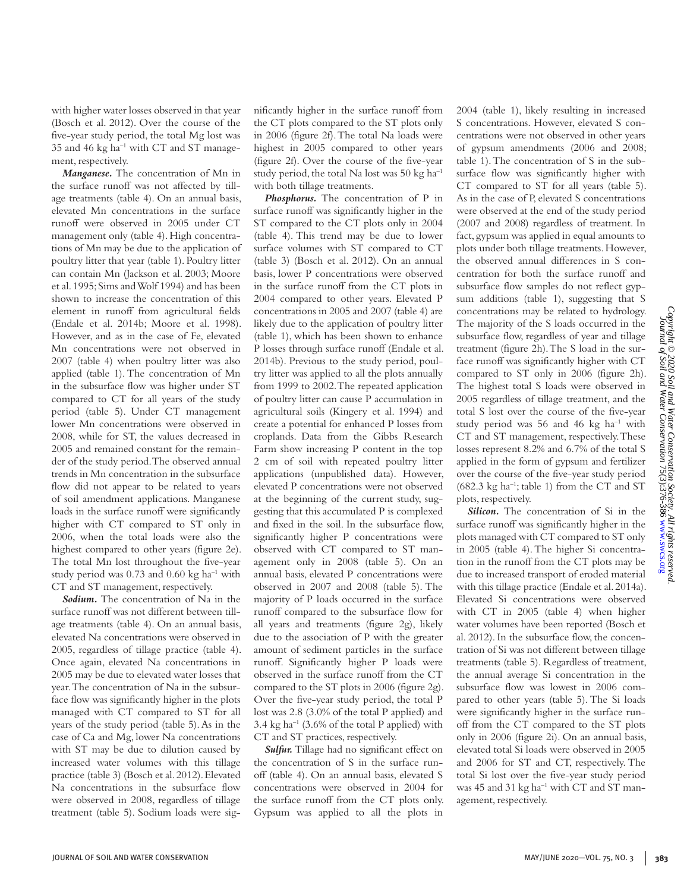with higher water losses observed in that year (Bosch et al. 2012). Over the course of the five-year study period, the total Mg lost was 35 and 46 kg ha–1 with CT and ST management, respectively.

*Manganese.* The concentration of Mn in the surface runoff was not affected by tillage treatments (table 4). On an annual basis, elevated Mn concentrations in the surface runoff were observed in 2005 under CT management only (table 4). High concentrations of Mn may be due to the application of poultry litter that year (table 1). Poultry litter can contain Mn (Jackson et al. 2003; Moore et al. 1995; Sims and Wolf 1994) and has been shown to increase the concentration of this element in runoff from agricultural fields (Endale et al. 2014b; Moore et al. 1998). However, and as in the case of Fe, elevated Mn concentrations were not observed in 2007 (table 4) when poultry litter was also applied (table 1). The concentration of Mn in the subsurface flow was higher under ST compared to CT for all years of the study period (table 5). Under CT management lower Mn concentrations were observed in 2008, while for ST, the values decreased in 2005 and remained constant for the remainder of the study period. The observed annual trends in Mn concentration in the subsurface flow did not appear to be related to years of soil amendment applications. Manganese loads in the surface runoff were significantly higher with CT compared to ST only in 2006, when the total loads were also the highest compared to other years (figure 2e). The total Mn lost throughout the five-year study period was  $0.73$  and  $0.60$  kg ha<sup>-1</sup> with CT and ST management, respectively.

*Sodium.* The concentration of Na in the surface runoff was not different between tillage treatments (table 4). On an annual basis, elevated Na concentrations were observed in 2005, regardless of tillage practice (table 4). Once again, elevated Na concentrations in 2005 may be due to elevated water losses that year. The concentration of Na in the subsurface flow was significantly higher in the plots managed with CT compared to ST for all years of the study period (table 5). As in the case of Ca and Mg, lower Na concentrations with ST may be due to dilution caused by increased water volumes with this tillage practice (table 3) (Bosch et al. 2012). Elevated Na concentrations in the subsurface flow were observed in 2008, regardless of tillage treatment (table 5). Sodium loads were significantly higher in the surface runoff from the CT plots compared to the ST plots only in 2006 (figure 2f). The total Na loads were highest in 2005 compared to other years (figure 2f). Over the course of the five-year study period, the total Na lost was  $50 \text{ kg ha}^{-1}$ with both tillage treatments.

*Phosphorus.* The concentration of P in surface runoff was significantly higher in the ST compared to the CT plots only in 2004 (table 4). This trend may be due to lower surface volumes with ST compared to CT (table 3) (Bosch et al. 2012). On an annual basis, lower P concentrations were observed in the surface runoff from the CT plots in 2004 compared to other years. Elevated P concentrations in 2005 and 2007 (table 4) are likely due to the application of poultry litter (table 1), which has been shown to enhance P losses through surface runoff (Endale et al. 2014b). Previous to the study period, poultry litter was applied to all the plots annually from 1999 to 2002. The repeated application of poultry litter can cause P accumulation in agricultural soils (Kingery et al. 1994) and create a potential for enhanced P losses from croplands. Data from the Gibbs Research Farm show increasing P content in the top 2 cm of soil with repeated poultry litter applications (unpublished data). However, elevated P concentrations were not observed at the beginning of the current study, suggesting that this accumulated P is complexed and fixed in the soil. In the subsurface flow, significantly higher P concentrations were observed with CT compared to ST management only in 2008 (table 5). On an annual basis, elevated P concentrations were observed in 2007 and 2008 (table 5). The majority of P loads occurred in the surface runoff compared to the subsurface flow for all years and treatments (figure 2g), likely due to the association of P with the greater amount of sediment particles in the surface runoff. Significantly higher P loads were observed in the surface runoff from the CT compared to the ST plots in 2006 (figure 2g). Over the five-year study period, the total P lost was 2.8 (3.0% of the total P applied) and  $3.4 \text{ kg} \text{ ha}^{-1}$  (3.6% of the total P applied) with CT and ST practices, respectively.

*Sulfur.* Tillage had no significant effect on the concentration of S in the surface runoff (table 4). On an annual basis, elevated S concentrations were observed in 2004 for the surface runoff from the CT plots only. Gypsum was applied to all the plots in

2004 (table 1), likely resulting in increased S concentrations. However, elevated S concentrations were not observed in other years of gypsum amendments (2006 and 2008; table 1). The concentration of S in the subsurface flow was significantly higher with CT compared to ST for all years (table 5). As in the case of P, elevated S concentrations were observed at the end of the study period (2007 and 2008) regardless of treatment. In fact, gypsum was applied in equal amounts to plots under both tillage treatments. However, the observed annual differences in S concentration for both the surface runoff and subsurface flow samples do not reflect gypsum additions (table 1), suggesting that S concentrations may be related to hydrology. The majority of the S loads occurred in the subsurface flow, regardless of year and tillage treatment (figure 2h). The S load in the surface runoff was significantly higher with CT compared to ST only in 2006 (figure 2h). The highest total S loads were observed in 2005 regardless of tillage treatment, and the total S lost over the course of the five-year study period was 56 and 46 kg  $ha^{-1}$  with CT and ST management, respectively. These losses represent 8.2% and 6.7% of the total S applied in the form of gypsum and fertilizer over the course of the five-year study period  $(682.3 \text{ kg ha}^{-1})$ ; table 1) from the CT and ST plots, respectively.

*Silicon.* The concentration of Si in the surface runoff was significantly higher in the plots managed with CT compared to ST only in 2005 (table 4). The higher Si concentration in the runoff from the CT plots may be due to increased transport of eroded material with this tillage practice (Endale et al. 2014a). Elevated Si concentrations were observed with CT in 2005 (table 4) when higher water volumes have been reported (Bosch et al. 2012). In the subsurface flow, the concentration of Si was not different between tillage treatments (table 5). Regardless of treatment, the annual average Si concentration in the subsurface flow was lowest in 2006 compared to other years (table 5). The Si loads were significantly higher in the surface runoff from the CT compared to the ST plots only in 2006 (figure 2i). On an annual basis, elevated total Si loads were observed in 2005 and 2006 for ST and CT, respectively. The total Si lost over the five-year study period was 45 and 31 kg ha<sup>-1</sup> with CT and ST management, respectively.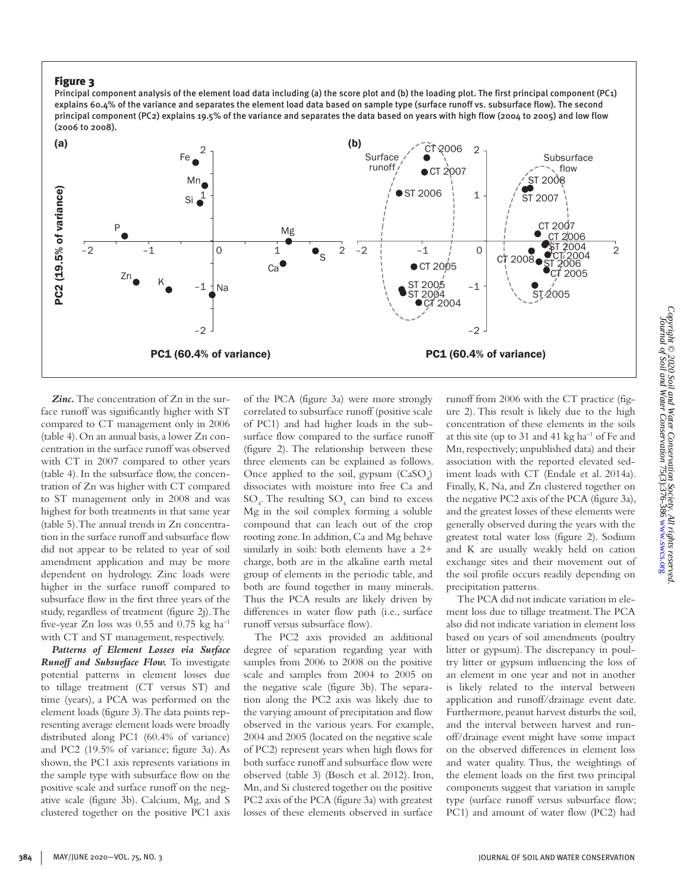# Figure 3

Principal component analysis of the element load data including (a) the score plot and (b) the loading plot. The first principal component (PC1) explains 60.4% of the variance and separates the element load data based on sample type (surface runoff vs. subsurface flow). The second principal component (PC2) explains 19.5% of the variance and separates the data based on years with high flow (2004 to 2005) and low flow (2006 to 2008).



*Zinc.* The concentration of Zn in the surface runoff was significantly higher with ST compared to CT management only in 2006 (table 4). On an annual basis, a lower Zn concentration in the surface runoff was observed with CT in 2007 compared to other years (table 4). In the subsurface flow, the concentration of Zn was higher with CT compared to ST management only in 2008 and was highest for both treatments in that same year (table 5). The annual trends in Zn concentration in the surface runoff and subsurface flow did not appear to be related to year of soil amendment application and may be more dependent on hydrology. Zinc loads were higher in the surface runoff compared to subsurface flow in the first three years of the study, regardless of treatment (figure 2j). The five-year Zn loss was  $0.55$  and  $0.75$  kg  $ha^{-1}$ with CT and ST management, respectively.

*Patterns of Element Losses via Surface Runoff and Subsurface Flow.* To investigate potential patterns in element losses due to tillage treatment (CT versus ST) and time (years), a PCA was performed on the element loads (figure 3). The data points representing average element loads were broadly distributed along PC1 (60.4% of variance) and PC2 (19.5% of variance; figure 3a). As shown, the PC1 axis represents variations in the sample type with subsurface flow on the positive scale and surface runoff on the negative scale (figure 3b). Calcium, Mg, and S clustered together on the positive PC1 axis of the PCA (figure 3a) were more strongly correlated to subsurface runoff (positive scale of PC1) and had higher loads in the subsurface flow compared to the surface runoff (figure 2). The relationship between these three elements can be explained as follows. Once applied to the soil, gypsum  $(CaSO_4)$ dissociates with moisture into free Ca and  $SO_4$ . The resulting  $SO_4$  can bind to excess Mg in the soil complex forming a soluble compound that can leach out of the crop rooting zone. In addition, Ca and Mg behave similarly in soils: both elements have a 2+ charge, both are in the alkaline earth metal group of elements in the periodic table, and both are found together in many minerals. Thus the PCA results are likely driven by differences in water flow path (i.e., surface runoff versus subsurface flow).

The PC2 axis provided an additional degree of separation regarding year with samples from 2006 to 2008 on the positive scale and samples from 2004 to 2005 on the negative scale (figure 3b). The separation along the PC2 axis was likely due to the varying amount of precipitation and flow observed in the various years. For example, 2004 and 2005 (located on the negative scale of PC2) represent years when high flows for both surface runoff and subsurface flow were observed (table 3) (Bosch et al. 2012). Iron, Mn, and Si clustered together on the positive PC2 axis of the PCA (figure 3a) with greatest losses of these elements observed in surface

runoff from 2006 with the CT practice (figure 2). This result is likely due to the high concentration of these elements in the soils at this site (up to 31 and 41 kg  $ha^{-1}$  of Fe and Mn, respectively; unpublished data) and their association with the reported elevated sediment loads with CT (Endale et al. 2014a). Finally, K, Na, and Zn clustered together on the negative PC2 axis of the PCA (figure 3a), and the greatest losses of these elements were generally observed during the years with the greatest total water loss (figure 2). Sodium and K are usually weakly held on cation exchange sites and their movement out of the soil profile occurs readily depending on precipitation patterns.

The PCA did not indicate variation in element loss due to tillage treatment. The PCA also did not indicate variation in element loss based on years of soil amendments (poultry litter or gypsum). The discrepancy in poultry litter or gypsum influencing the loss of an element in one year and not in another is likely related to the interval between application and runoff/drainage event date. Furthermore, peanut harvest disturbs the soil, and the interval between harvest and runoff/drainage event might have some impact on the observed differences in element loss and water quality. Thus, the weightings of the element loads on the first two principal components suggest that variation in sample type (surface runoff versus subsurface flow; PC1) and amount of water flow (PC2) had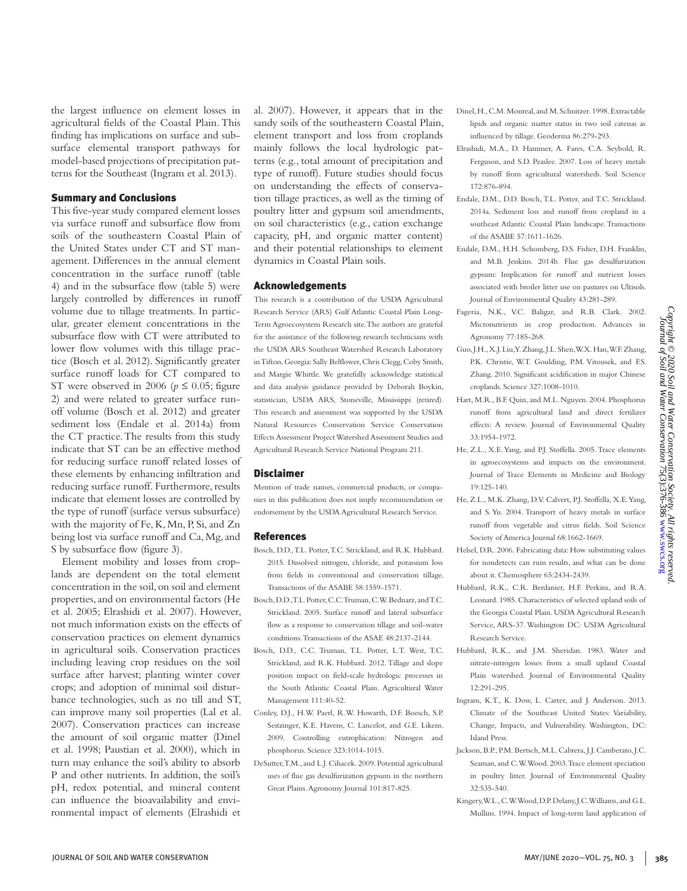the largest influence on element losses in agricultural fields of the Coastal Plain. This finding has implications on surface and subsurface elemental transport pathways for model-based projections of precipitation patterns for the Southeast (Ingram et al. 2013).

#### Summary and Conclusions

This five-year study compared element losses via surface runoff and subsurface flow from soils of the southeastern Coastal Plain of the United States under CT and ST management. Differences in the annual element concentration in the surface runoff (table 4) and in the subsurface flow (table 5) were largely controlled by differences in runoff volume due to tillage treatments. In particular, greater element concentrations in the subsurface flow with CT were attributed to lower flow volumes with this tillage practice (Bosch et al. 2012). Significantly greater surface runoff loads for CT compared to ST were observed in 2006 ( $p \leq 0.05$ ; figure 2) and were related to greater surface runoff volume (Bosch et al. 2012) and greater sediment loss (Endale et al. 2014a) from the CT practice. The results from this study indicate that ST can be an effective method for reducing surface runoff related losses of these elements by enhancing infiltration and reducing surface runoff. Furthermore, results indicate that element losses are controlled by the type of runoff (surface versus subsurface) with the majority of Fe, K, Mn, P, Si, and Zn being lost via surface runoff and Ca, Mg, and S by subsurface flow (figure 3).

Element mobility and losses from croplands are dependent on the total element concentration in the soil, on soil and element properties, and on environmental factors (He et al. 2005; Elrashidi et al. 2007). However, not much information exists on the effects of conservation practices on element dynamics in agricultural soils. Conservation practices including leaving crop residues on the soil surface after harvest; planting winter cover crops; and adoption of minimal soil disturbance technologies, such as no till and ST, can improve many soil properties (Lal et al. 2007). Conservation practices can increase the amount of soil organic matter (Dinel et al. 1998; Paustian et al. 2000), which in turn may enhance the soil's ability to absorb P and other nutrients. In addition, the soil's pH, redox potential, and mineral content can influence the bioavailability and environmental impact of elements (Elrashidi et

al. 2007). However, it appears that in the sandy soils of the southeastern Coastal Plain, element transport and loss from croplands mainly follows the local hydrologic patterns (e.g., total amount of precipitation and type of runoff). Future studies should focus on understanding the effects of conservation tillage practices, as well as the timing of poultry litter and gypsum soil amendments, on soil characteristics (e.g., cation exchange capacity, pH, and organic matter content) and their potential relationships to element dynamics in Coastal Plain soils.

## Acknowledgements

This research is a contribution of the USDA Agricultural Research Service (ARS) Gulf Atlantic Coastal Plain Long-Term Agroecosystem Research site. The authors are grateful for the assistance of the following research technicians with the USDA ARS Southeast Watershed Research Laboratory in Tifton, Georgia: Sally Belflower, Chris Clegg, Coby Smith, and Margie Whittle. We gratefully acknowledge statistical and data analysis guidance provided by Deborah Boykin, statistician, USDA ARS, Stoneville, Mississippi (retired). This research and assessment was supported by the USDA Natural Resources Conservation Service Conservation Effects Assessment Project Watershed Assessment Studies and Agricultural Research Service National Program 211.

## **Disclaimer**

Mention of trade names, commercial products, or companies in this publication does not imply recommendation or endorsement by the USDA Agricultural Research Service.

#### References

- Bosch, D.D., T.L. Potter, T.C. Strickland, and R.K. Hubbard. 2015. Dissolved nitrogen, chloride, and potassium loss from fields in conventional and conservation tillage. Transactions of the ASABE 58:1559-1571.
- Bosch, D.D., T.L. Potter, C.C. Truman, C.W. Bednarz, and T.C. Strickland. 2005. Surface runoff and lateral subsurface flow as a response to conservation tillage and soil-water conditions. Transactions of the ASAE 48:2137-2144.
- Bosch, D.D., C.C. Truman, T.L. Potter, L.T. West, T.C. Strickland, and R.K. Hubbard. 2012. Tillage and slope position impact on field-scale hydrologic processes in the South Atlantic Coastal Plain. Agricultural Water Management 111:40-52.
- Conley, D.J., H.W. Paerl, R.W. Howarth, D.F. Boesch, S.P. Seitzinger, K.E. Havens, C. Lancelot, and G.E. Likens. 2009. Controlling eutrophication: Nitrogen and phosphorus. Science 323:1014-1015.
- DeSutter, T.M., and L.J. Cihacek. 2009. Potential agricultural uses of flue gas desulfurization gypsum in the northern Great Plains. Agronomy Journal 101:817-825.
- Dinel, H., C.M. Monreal, and M. Schnitzer. 1998. Extractable lipids and organic matter status in two soil catenas as influenced by tillage. Geoderma 86:279-293.
- Elrashidi, M.A., D. Hammer, A. Fares, C.A. Seybold, R. Ferguson, and S.D. Peaslee. 2007. Loss of heavy metals by runoff from agricultural watersheds. Soil Science 172:876-894.
- Endale, D.M., D.D. Bosch, T.L. Potter, and T.C. Strickland. 2014a. Sediment loss and runoff from cropland in a southeast Atlantic Coastal Plain landscape. Transactions of the ASABE 57:1611-1626.
- Endale, D.M., H.H. Schomberg, D.S. Fisher, D.H. Franklin, and M.B. Jenkins. 2014b. Flue gas desulfurization gypsum: Implication for runoff and nutrient losses associated with broiler litter use on pastures on Ultisols. Journal of Environmental Quality 43:281-289.
- Fageria, N.K., V.C. Baligar, and R.B. Clark. 2002. Micronutrients in crop production. Advances in Agronomy 77:185-268.
- Guo, J.H., X.J. Liu, Y. Zhang, J.L. Shen, W.X. Han, W.F. Zhang, P.K. Christie, W.T. Goulding, P.M. Vitousek, and F.S. Zhang. 2010. Significant acidification in major Chinese croplands. Science 327:1008-1010.
- Hart, M.R., B.F. Quin, and M.L. Nguyen. 2004. Phosphorus runoff from agricultural land and direct fertilizer effects: A review. Journal of Environmental Quality 33:1954-1972.
- He, Z.L., X.E. Yang, and P.J. Stoffella. 2005. Trace elements in agroecosystems and impacts on the environment. Journal of Trace Elements in Medicine and Biology 19:125-140.
- He, Z.L., M.K. Zhang, D.V. Calvert, P.J. Stoffella, X.E. Yang, and S. Yu. 2004. Transport of heavy metals in surface runoff from vegetable and citrus fields. Soil Science Society of America Journal 68:1662-1669.
- Helsel, D.R. 2006. Fabricating data: How substituting values for nondetects can ruin results, and what can be done about it. Chemosphere 65:2434-2439.
- Hubbard, R.K., C.R. Berdanier, H.F. Perkins, and R.A. Leonard. 1985. Characteristics of selected upland soils of the Georgia Coastal Plain. USDA Agricultural Research Service, ARS-37. Washington DC: USDA Agricultural Research Service.
- Hubbard, R.K., and J.M. Sheridan. 1983. Water and nitrate-nitrogen losses from a small upland Coastal Plain watershed. Journal of Environmental Quality 12:291-295.
- Ingram, K.T., K. Dow, L. Carter, and J. Anderson. 2013. Climate of the Southeast United States: Variability, Change, Impacts, and Vulnerability. Washington, DC: Island Press.
- Jackson, B.P., P.M. Bertsch, M.L. Cabrera, J.J. Camberato, J.C. Seaman, and C.W. Wood. 2003. Trace element speciation in poultry litter. Journal of Environmental Quality 32:535-540.
- Kingery, W.L., C.W. Wood, D.P. Delany, J.C. Williams, and G.L. Mullins. 1994. Impact of long-term land application of